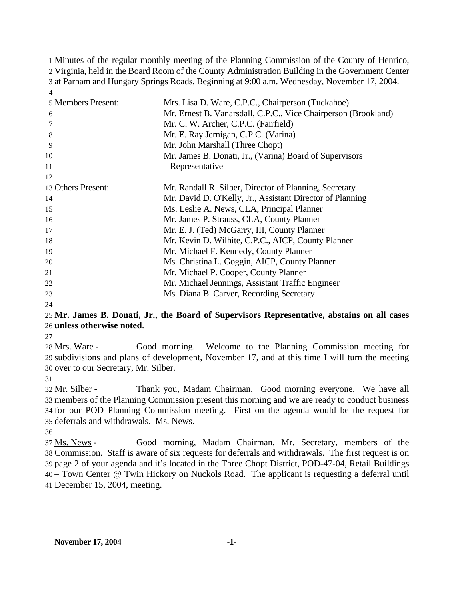Minutes of the regular monthly meeting of the Planning Commission of the County of Henrico, Virginia, held in the Board Room of the County Administration Building in the Government Center at Parham and Hungary Springs Roads, Beginning at 9:00 a.m. Wednesday, November 17, 2004. 4

| 5 Members Present: | Mrs. Lisa D. Ware, C.P.C., Chairperson (Tuckahoe)              |
|--------------------|----------------------------------------------------------------|
| 6                  | Mr. Ernest B. Vanarsdall, C.P.C., Vice Chairperson (Brookland) |
| 7                  | Mr. C. W. Archer, C.P.C. (Fairfield)                           |
| 8                  | Mr. E. Ray Jernigan, C.P.C. (Varina)                           |
| 9                  | Mr. John Marshall (Three Chopt)                                |
| 10                 | Mr. James B. Donati, Jr., (Varina) Board of Supervisors        |
| 11                 | Representative                                                 |
| 12                 |                                                                |
| 13 Others Present: | Mr. Randall R. Silber, Director of Planning, Secretary         |
| 14                 | Mr. David D. O'Kelly, Jr., Assistant Director of Planning      |
| 15                 | Ms. Leslie A. News, CLA, Principal Planner                     |
| 16                 | Mr. James P. Strauss, CLA, County Planner                      |
| 17                 | Mr. E. J. (Ted) McGarry, III, County Planner                   |
| 18                 | Mr. Kevin D. Wilhite, C.P.C., AICP, County Planner             |
| 19                 | Mr. Michael F. Kennedy, County Planner                         |
| 20                 | Ms. Christina L. Goggin, AICP, County Planner                  |
| 21                 | Mr. Michael P. Cooper, County Planner                          |
| 22                 | Mr. Michael Jennings, Assistant Traffic Engineer               |
| 23                 | Ms. Diana B. Carver, Recording Secretary                       |
| 24                 |                                                                |

### 25 **Mr. James B. Donati, Jr., the Board of Supervisors Representative, abstains on all cases**  26 **unless otherwise noted**.

27

Good morning. Welcome to the Planning Commission meeting for 29 subdivisions and plans of development, November 17, and at this time I will turn the meeting 30 over to our Secretary, Mr. Silber. 28 Mrs. Ware -

31

Thank you, Madam Chairman. Good morning everyone. We have all 33 members of the Planning Commission present this morning and we are ready to conduct business 34 for our POD Planning Commission meeting. First on the agenda would be the request for 35 deferrals and withdrawals. Ms. News. 32 Mr. Silber -

36

Good morning, Madam Chairman, Mr. Secretary, members of the Commission. Staff is aware of six requests for deferrals and withdrawals. The first request is on 38 39 page 2 of your agenda and it's located in the Three Chopt District, POD-47-04, Retail Buildings – Town Center @ Twin Hickory on Nuckols Road. The applicant is requesting a deferral until 40 December 15, 2004, meeting. 41 37 Ms. News -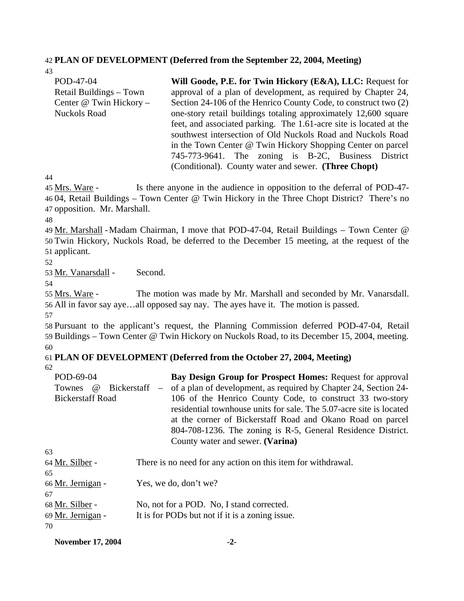#### 42 **PLAN OF DEVELOPMENT (Deferred from the September 22, 2004, Meeting)**

| 43                      |                                                                    |  |  |  |  |  |  |
|-------------------------|--------------------------------------------------------------------|--|--|--|--|--|--|
| POD-47-04               | Will Goode, P.E. for Twin Hickory (E&A), LLC: Request for          |  |  |  |  |  |  |
| Retail Buildings – Town | approval of a plan of development, as required by Chapter 24,      |  |  |  |  |  |  |
| Center @ Twin Hickory - | Section 24-106 of the Henrico County Code, to construct two (2)    |  |  |  |  |  |  |
| <b>Nuckols Road</b>     | one-story retail buildings totaling approximately 12,600 square    |  |  |  |  |  |  |
|                         | feet, and associated parking. The 1.61-acre site is located at the |  |  |  |  |  |  |
|                         | southwest intersection of Old Nuckols Road and Nuckols Road        |  |  |  |  |  |  |
|                         | in the Town Center @ Twin Hickory Shopping Center on parcel        |  |  |  |  |  |  |
|                         | 745-773-9641. The zoning is B-2C, Business District                |  |  |  |  |  |  |
|                         | (Conditional). County water and sewer. (Three Chopt)               |  |  |  |  |  |  |

44

Is there anyone in the audience in opposition to the deferral of POD-47-4604, Retail Buildings - Town Center @ Twin Hickory in the Three Chopt District? There's no 47 opposition. Mr. Marshall. 45 Mrs. Ware -

48

49 Mr. Marshall - Madam Chairman, I move that POD-47-04, Retail Buildings - Town Center @ Twin Hickory, Nuckols Road, be deferred to the December 15 meeting, at the request of the 50 51 applicant.

52

53 Mr. Vanarsdall - Second.

54

The motion was made by Mr. Marshall and seconded by Mr. Vanarsdall. 56 All in favor say aye...all opposed say nay. The ayes have it. The motion is passed. 55 Mrs. Ware -

57

58 Pursuant to the applicant's request, the Planning Commission deferred POD-47-04, Retail 59 Buildings – Town Center @ Twin Hickory on Nuckols Road, to its December 15, 2004, meeting. 60

#### 61 **PLAN OF DEVELOPMENT (Deferred from the October 27, 2004, Meeting)**  62

| POD-69-04               | <b>Bay Design Group for Prospect Homes:</b> Request for approval                        |
|-------------------------|-----------------------------------------------------------------------------------------|
|                         | Townes @ Bickerstaff – of a plan of development, as required by Chapter 24, Section 24- |
| <b>Bickerstaff Road</b> | 106 of the Henrico County Code, to construct 33 two-story                               |
|                         | residential townhouse units for sale. The 5.07-acre site is located                     |
|                         | at the corner of Bickerstaff Road and Okano Road on parcel                              |
|                         | 804-708-1236. The zoning is R-5, General Residence District.                            |
|                         | County water and sewer. (Varina)                                                        |

| 63                |                                                              |
|-------------------|--------------------------------------------------------------|
| 64 Mr. Silber -   | There is no need for any action on this item for withdrawal. |
| 65                |                                                              |
| 66 Mr. Jernigan - | Yes, we do, don't we?                                        |
| 67                |                                                              |
| 68 Mr. Silber -   | No, not for a POD. No, I stand corrected.                    |
| 69 Mr. Jernigan - | It is for PODs but not if it is a zoning issue.              |
| 70                |                                                              |

**November 17, 2004** -2-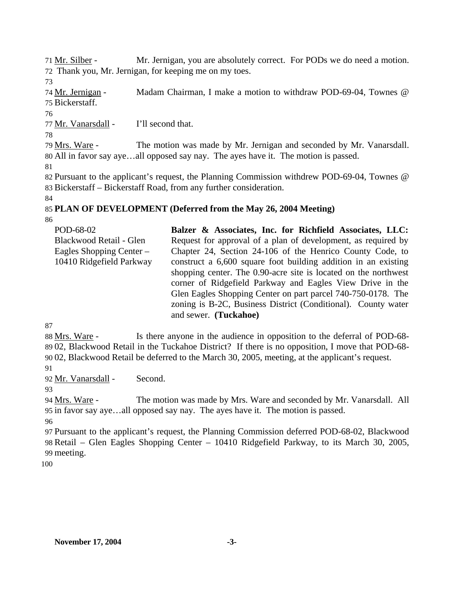Mr. Jernigan, you are absolutely correct. For PODs we do need a motion. 72 Thank you, Mr. Jernigan, for keeping me on my toes. 71 Mr. Silber -

73

Madam Chairman, I make a motion to withdraw POD-69-04, Townes @ Bickerstaff. 75 74 Mr. Jernigan -

76

77 Mr. Vanarsdall - I'll second that.

78

The motion was made by Mr. Jernigan and seconded by Mr. Vanarsdall. All in favor say aye…all opposed say nay. The ayes have it. The motion is passed. 80 79 Mrs. Ware -

81

82 Pursuant to the applicant's request, the Planning Commission withdrew POD-69-04, Townes @ 83 Bickerstaff – Bickerstaff Road, from any further consideration.

84

# 85 **PLAN OF DEVELOPMENT (Deferred from the May 26, 2004 Meeting)**

86

| Balzer & Associates, Inc. for Richfield Associates, LLC:        |
|-----------------------------------------------------------------|
|                                                                 |
| Request for approval of a plan of development, as required by   |
| Chapter 24, Section 24-106 of the Henrico County Code, to       |
| construct a 6,600 square foot building addition in an existing  |
| shopping center. The 0.90-acre site is located on the northwest |
| corner of Ridgefield Parkway and Eagles View Drive in the       |
| Glen Eagles Shopping Center on part parcel 740-750-0178. The    |
| zoning is B-2C, Business District (Conditional). County water   |
| and sewer. (Tuckahoe)                                           |
|                                                                 |

87

Is there anyone in the audience in opposition to the deferral of POD-68-02, Blackwood Retail in the Tuckahoe District? If there is no opposition, I move that POD-68- 89 02, Blackwood Retail be deferred to the March 30, 2005, meeting, at the applicant's request. 90 88 Mrs. Ware -

91

92 Mr. Vanarsdall - Second.

93

The motion was made by Mrs. Ware and seconded by Mr. Vanarsdall. All 95 in favor say aye...all opposed say nay. The ayes have it. The motion is passed. 94 Mrs. Ware -

96

97 Pursuant to the applicant's request, the Planning Commission deferred POD-68-02, Blackwood 98 Retail – Glen Eagles Shopping Center – 10410 Ridgefield Parkway, to its March 30, 2005, 99 meeting.

100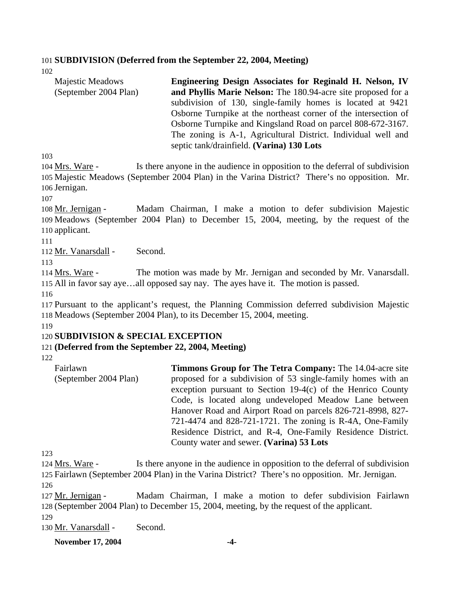### 101 **SUBDIVISION (Deferred from the September 22, 2004, Meeting)**

102

| <b>Majestic Meadows</b> | Engineering Design Associates for Reginald H. Nelson, IV        |
|-------------------------|-----------------------------------------------------------------|
| (September 2004 Plan)   | and Phyllis Marie Nelson: The 180.94-acre site proposed for a   |
|                         | subdivision of 130, single-family homes is located at 9421      |
|                         | Osborne Turnpike at the northeast corner of the intersection of |
|                         | Osborne Turnpike and Kingsland Road on parcel 808-672-3167.     |
|                         | The zoning is A-1, Agricultural District. Individual well and   |
|                         | septic tank/drainfield. (Varina) 130 Lots                       |

103

Is there anyone in the audience in opposition to the deferral of subdivision 105 Majestic Meadows (September 2004 Plan) in the Varina District? There's no opposition. Mr. 106 Jernigan. 104 Mrs. Ware -

107

Madam Chairman, I make a motion to defer subdivision Majestic 109 Meadows (September 2004 Plan) to December 15, 2004, meeting, by the request of the 110 applicant. 108 Mr. Jernigan -

111

112 Mr. Vanarsdall - Second.

113

The motion was made by Mr. Jernigan and seconded by Mr. Vanarsdall. 115 All in favor say aye...all opposed say nay. The ayes have it. The motion is passed. 114 Mrs. Ware -

116

117 Pursuant to the applicant's request, the Planning Commission deferred subdivision Majestic 118 Meadows (September 2004 Plan), to its December 15, 2004, meeting.

119

### 120 **SUBDIVISION & SPECIAL EXCEPTION**

### 121 **(Deferred from the September 22, 2004, Meeting)**

122

Fairlawn (September 2004 Plan) **Timmons Group for The Tetra Company:** The 14.04-acre site proposed for a subdivision of 53 single-family homes with an exception pursuant to Section 19-4(c) of the Henrico County Code, is located along undeveloped Meadow Lane between Hanover Road and Airport Road on parcels 826-721-8998, 827- 721-4474 and 828-721-1721. The zoning is R-4A, One-Family Residence District, and R-4, One-Family Residence District. County water and sewer. **(Varina) 53 Lots** 

123

Is there anyone in the audience in opposition to the deferral of subdivision Fairlawn (September 2004 Plan) in the Varina District? There's no opposition. Mr. Jernigan. 125 124 Mrs. Ware -126

Madam Chairman, I make a motion to defer subdivision Fairlawn (September 2004 Plan) to December 15, 2004, meeting, by the request of the applicant. 128 127 Mr. Jernigan -

129

130 Mr. Vanarsdall - Second.

**November 17, 2004** -4-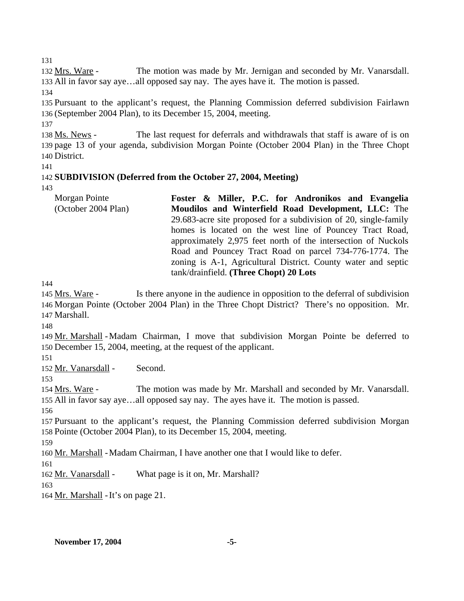131

The motion was made by Mr. Jernigan and seconded by Mr. Vanarsdall. 133 All in favor say aye...all opposed say nay. The ayes have it. The motion is passed. 132 Mrs. Ware -

134

135 Pursuant to the applicant's request, the Planning Commission deferred subdivision Fairlawn 136 (September 2004 Plan), to its December 15, 2004, meeting.

137

The last request for deferrals and withdrawals that staff is aware of is on 139 page 13 of your agenda, subdivision Morgan Pointe (October 2004 Plan) in the Three Chopt 140 District. 138 Ms. News -

141

# 142 **SUBDIVISION (Deferred from the October 27, 2004, Meeting)**

143

| Morgan Pointe       | Foster & Miller, P.C. for Andronikos and Evangelia               |
|---------------------|------------------------------------------------------------------|
| (October 2004 Plan) | Moudilos and Winterfield Road Development, LLC: The              |
|                     | 29.683-acre site proposed for a subdivision of 20, single-family |
|                     | homes is located on the west line of Pouncey Tract Road,         |
|                     | approximately 2,975 feet north of the intersection of Nuckols    |
|                     | Road and Pouncey Tract Road on parcel 734-776-1774. The          |
|                     | zoning is A-1, Agricultural District. County water and septic    |
|                     | tank/drainfield. (Three Chopt) 20 Lots                           |

144

Is there anyone in the audience in opposition to the deferral of subdivision 146 Morgan Pointe (October 2004 Plan) in the Three Chopt District? There's no opposition. Mr. 147 Marshall. 145 Mrs. Ware -

148

149 Mr. Marshall - Madam Chairman, I move that subdivision Morgan Pointe be deferred to 150 December 15, 2004, meeting, at the request of the applicant.

151

152 Mr. Vanarsdall - Second.

153

The motion was made by Mr. Marshall and seconded by Mr. Vanarsdall. 155 All in favor say aye...all opposed say nay. The ayes have it. The motion is passed. 154 Mrs. Ware -

156

157 Pursuant to the applicant's request, the Planning Commission deferred subdivision Morgan 158 Pointe (October 2004 Plan), to its December 15, 2004, meeting.

159

160 Mr. Marshall - Madam Chairman, I have another one that I would like to defer.

161

162 Mr. Vanarsdall - What page is it on, Mr. Marshall?

163

164 <u>Mr. Marshall</u> - It's on page 21.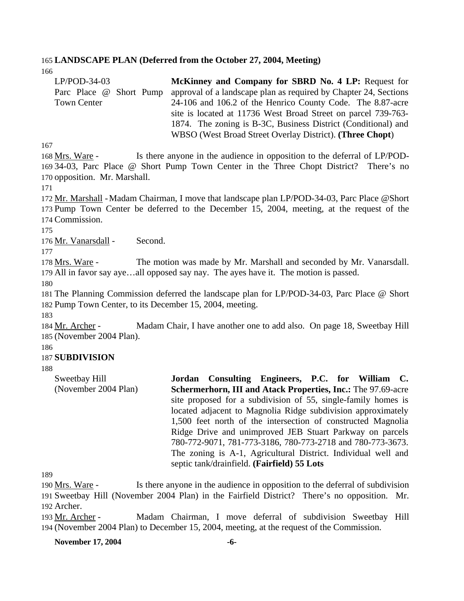#### 165 **LANDSCAPE PLAN (Deferred from the October 27, 2004, Meeting)**

166

| $LP/POD-34-03$          | McKinney and Company for SBRD No. 4 LP: Request for              |
|-------------------------|------------------------------------------------------------------|
| Parc Place @ Short Pump | approval of a landscape plan as required by Chapter 24, Sections |
| <b>Town Center</b>      | 24-106 and 106.2 of the Henrico County Code. The 8.87-acre       |
|                         | site is located at 11736 West Broad Street on parcel 739-763-    |
|                         | 1874. The zoning is B-3C, Business District (Conditional) and    |
|                         | WBSO (West Broad Street Overlay District). (Three Chopt)         |

167

Is there anyone in the audience in opposition to the deferral of LP/POD-34-03, Parc Place @ Short Pump Town Center in the Three Chopt District? There's no 169 170 opposition. Mr. Marshall. 168 Mrs. Ware -

171

172 Mr. Marshall - Madam Chairman, I move that landscape plan LP/POD-34-03, Parc Place @Short 173 Pump Town Center be deferred to the December 15, 2004, meeting, at the request of the 174 Commission.

175

176 Mr. Vanarsdall - Second.

177

The motion was made by Mr. Marshall and seconded by Mr. Vanarsdall. 179 All in favor say aye...all opposed say nay. The ayes have it. The motion is passed. 178 Mrs. Ware -

180

181 The Planning Commission deferred the landscape plan for LP/POD-34-03, Parc Place @ Short 182 Pump Town Center, to its December 15, 2004, meeting.

183

Madam Chair, I have another one to add also. On page 18, Sweetbay Hill 185 (November 2004 Plan). 184 Mr. Archer -

186

### 187 **SUBDIVISION**

188

Sweetbay Hill (November 2004 Plan) **Jordan Consulting Engineers, P.C. for William C. Schermerhorn, III and Atack Properties, Inc.:** The 97.69-acre site proposed for a subdivision of 55, single-family homes is located adjacent to Magnolia Ridge subdivision approximately 1,500 feet north of the intersection of constructed Magnolia Ridge Drive and unimproved JEB Stuart Parkway on parcels 780-772-9071, 781-773-3186, 780-773-2718 and 780-773-3673. The zoning is A-1, Agricultural District. Individual well and septic tank/drainfield. **(Fairfield) 55 Lots** 

189

Is there anyone in the audience in opposition to the deferral of subdivision Sweetbay Hill (November 2004 Plan) in the Fairfield District? There's no opposition. Mr. 191 192 Archer. 190 Mrs. Ware -

Madam Chairman, I move deferral of subdivision Sweetbay Hill (November 2004 Plan) to December 15, 2004, meeting, at the request of the Commission. 194 193 Mr. Archer -

**November 17, 2004** -6-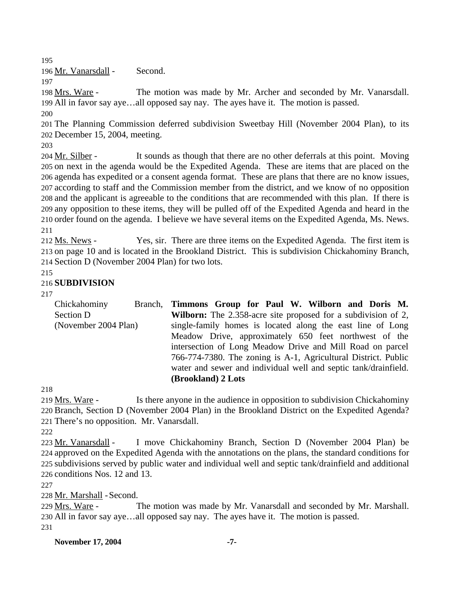195

196 Mr. Vanarsdall - Second.

197

The motion was made by Mr. Archer and seconded by Mr. Vanarsdall. All in favor say aye…all opposed say nay. The ayes have it. The motion is passed. 199 198 Mrs. Ware -200

201 The Planning Commission deferred subdivision Sweetbay Hill (November 2004 Plan), to its 202 December 15, 2004, meeting.

203

It sounds as though that there are no other deferrals at this point. Moving 205 on next in the agenda would be the Expedited Agenda. These are items that are placed on the 206 agenda has expedited or a consent agenda format. These are plans that there are no know issues, according to staff and the Commission member from the district, and we know of no opposition 207 208 and the applicant is agreeable to the conditions that are recommended with this plan. If there is 209 any opposition to these items, they will be pulled off of the Expedited Agenda and heard in the 210 order found on the agenda. I believe we have several items on the Expedited Agenda, Ms. News. 204 Mr. Silber -211

Yes, sir. There are three items on the Expedited Agenda. The first item is 213 on page 10 and is located in the Brookland District. This is subdivision Chickahominy Branch, 214 Section D (November 2004 Plan) for two lots. 212 Ms. News -

215

## 216 **SUBDIVISION**

217

Chickahominy Branch, Section D (November 2004 Plan) **Timmons Group for Paul W. Wilborn and Doris M. Wilborn:** The 2.358-acre site proposed for a subdivision of 2, single-family homes is located along the east line of Long Meadow Drive, approximately 650 feet northwest of the intersection of Long Meadow Drive and Mill Road on parcel 766-774-7380. The zoning is A-1, Agricultural District. Public water and sewer and individual well and septic tank/drainfield. **(Brookland) 2 Lots** 

218

Is there anyone in the audience in opposition to subdivision Chickahominy 220 Branch, Section D (November 2004 Plan) in the Brookland District on the Expedited Agenda? 221 There's no opposition. Mr. Vanarsdall. 219 Mrs. Ware -

222

I move Chickahominy Branch, Section D (November 2004 Plan) be 224 approved on the Expedited Agenda with the annotations on the plans, the standard conditions for 225 subdivisions served by public water and individual well and septic tank/drainfield and additional 226 conditions Nos. 12 and 13. 223 Mr. Vanarsdall -

227

228 Mr. Marshall - Second.

The motion was made by Mr. Vanarsdall and seconded by Mr. Marshall. All in favor say aye…all opposed say nay. The ayes have it. The motion is passed. 230 229 Mrs. Ware -231

**November 17, 2004** -7-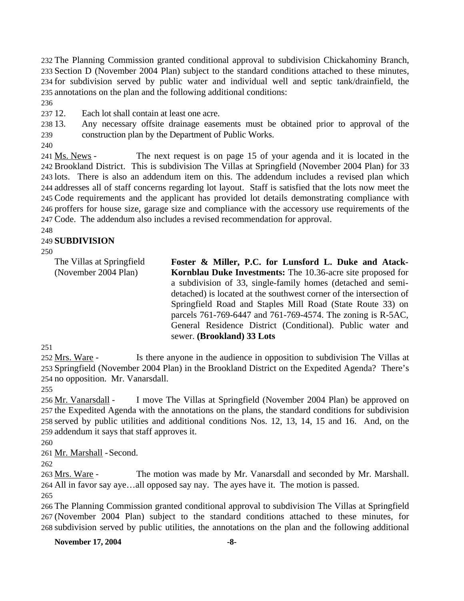The Planning Commission granted conditional approval to subdivision Chickahominy Branch, Section D (November 2004 Plan) subject to the standard conditions attached to these minutes, for subdivision served by public water and individual well and septic tank/drainfield, the annotations on the plan and the following additional conditions:

236

237 12. Each lot shall contain at least one acre.

238 13. 239 Any necessary offsite drainage easements must be obtained prior to approval of the construction plan by the Department of Public Works.

240

The next request is on page 15 of your agenda and it is located in the 242 Brookland District. This is subdivision The Villas at Springfield (November 2004 Plan) for 33 243 lots. There is also an addendum item on this. The addendum includes a revised plan which 244 addresses all of staff concerns regarding lot layout. Staff is satisfied that the lots now meet the 245 Code requirements and the applicant has provided lot details demonstrating compliance with 246 proffers for house size, garage size and compliance with the accessory use requirements of the Code. The addendum also includes a revised recommendation for approval. 247 241 Ms. News -

248

## 249 **SUBDIVISION**

250

| The Villas at Springfield<br>(November 2004 Plan) | Foster & Miller, P.C. for Lunsford L. Duke and Atack-<br>Kornblau Duke Investments: The 10.36-acre site proposed for<br>a subdivision of 33, single-family homes (detached and semi-<br>detached) is located at the southwest corner of the intersection of<br>Springfield Road and Staples Mill Road (State Route 33) on<br>parcels 761-769-6447 and 761-769-4574. The zoning is R-5AC,<br>General Residence District (Conditional). Public water and<br>sewer. (Brookland) 33 Lots |
|---------------------------------------------------|--------------------------------------------------------------------------------------------------------------------------------------------------------------------------------------------------------------------------------------------------------------------------------------------------------------------------------------------------------------------------------------------------------------------------------------------------------------------------------------|
|                                                   |                                                                                                                                                                                                                                                                                                                                                                                                                                                                                      |

251

Is there anyone in the audience in opposition to subdivision The Villas at 253 Springfield (November 2004 Plan) in the Brookland District on the Expedited Agenda? There's 254 no opposition. Mr. Vanarsdall. 252 Mrs. Ware -

255

I move The Villas at Springfield (November 2004 Plan) be approved on 257 the Expedited Agenda with the annotations on the plans, the standard conditions for subdivision 258 served by public utilities and additional conditions Nos. 12, 13, 14, 15 and 16. And, on the 259 addendum it says that staff approves it. 256 Mr. Vanarsdall -

260

261 Mr. Marshall - Second.

262

The motion was made by Mr. Vanarsdall and seconded by Mr. Marshall. All in favor say aye…all opposed say nay. The ayes have it. The motion is passed. 264 263 Mrs. Ware -

265

266 The Planning Commission granted conditional approval to subdivision The Villas at Springfield 267 (November 2004 Plan) subject to the standard conditions attached to these minutes, for 268 subdivision served by public utilities, the annotations on the plan and the following additional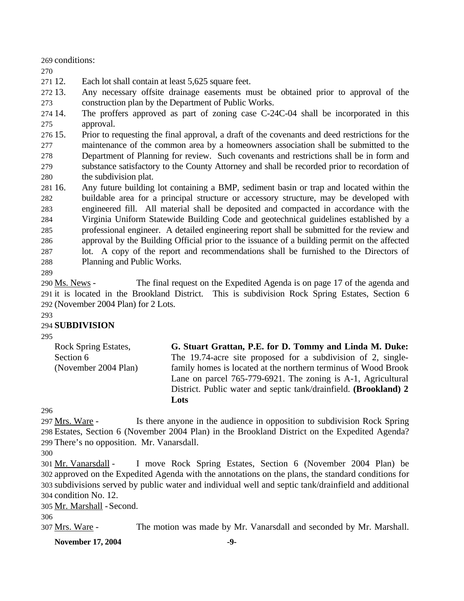269 conditions:

270

271 12. Each lot shall contain at least 5,625 square feet.

272 13. 273 Any necessary offsite drainage easements must be obtained prior to approval of the construction plan by the Department of Public Works.

274 14. 275 The proffers approved as part of zoning case C-24C-04 shall be incorporated in this approval.

276 15. 277 278 279 280 15. Prior to requesting the final approval, a draft of the covenants and deed restrictions for the maintenance of the common area by a homeowners association shall be submitted to the Department of Planning for review. Such covenants and restrictions shall be in form and substance satisfactory to the County Attorney and shall be recorded prior to recordation of the subdivision plat.

281 16. 282 283 284 285 286 287 288 16. Any future building lot containing a BMP, sediment basin or trap and located within the buildable area for a principal structure or accessory structure, may be developed with engineered fill. All material shall be deposited and compacted in accordance with the Virginia Uniform Statewide Building Code and geotechnical guidelines established by a professional engineer. A detailed engineering report shall be submitted for the review and approval by the Building Official prior to the issuance of a building permit on the affected lot. A copy of the report and recommendations shall be furnished to the Directors of Planning and Public Works.

289

The final request on the Expedited Agenda is on page 17 of the agenda and 291 it is located in the Brookland District. This is subdivision Rock Spring Estates, Section 6 (November 2004 Plan) for 2 Lots. 292 290 Ms. News -

#### 293

### 294 **SUBDIVISION**

295

Rock Spring Estates, Section 6 (November 2004 Plan) **G. Stuart Grattan, P.E. for D. Tommy and Linda M. Duke:**  The 19.74-acre site proposed for a subdivision of 2, singlefamily homes is located at the northern terminus of Wood Brook Lane on parcel 765-779-6921. The zoning is A-1, Agricultural District. Public water and septic tank/drainfield. **(Brookland) 2 Lots** 

296

Is there anyone in the audience in opposition to subdivision Rock Spring Estates, Section 6 (November 2004 Plan) in the Brookland District on the Expedited Agenda? 298 299 There's no opposition. Mr. Vanarsdall. 297 Mrs. Ware -

I move Rock Spring Estates, Section 6 (November 2004 Plan) be 302 approved on the Expedited Agenda with the annotations on the plans, the standard conditions for subdivisions served by public water and individual well and septic tank/drainfield and additional 303 304 condition No. 12. 301 Mr. Vanarsdall -

305 Mr. Marshall - Second.

306

307 Mrs. Ware - The motion was made by Mr. Vanarsdall and seconded by Mr. Marshall.

**November 17, 2004** -9-

<sup>300</sup>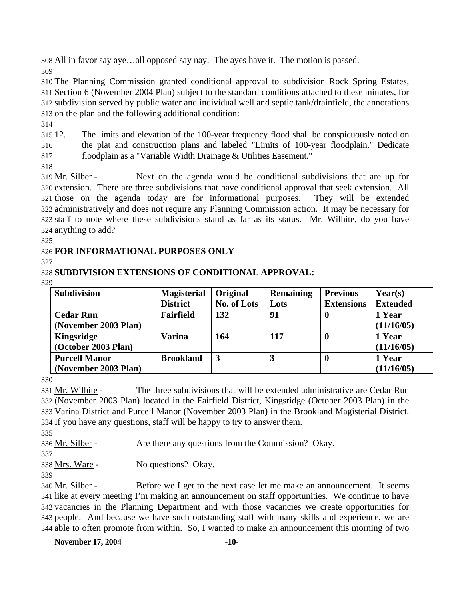308 All in favor say aye…all opposed say nay. The ayes have it. The motion is passed. 309

 The Planning Commission granted conditional approval to subdivision Rock Spring Estates, Section 6 (November 2004 Plan) subject to the standard conditions attached to these minutes, for subdivision served by public water and individual well and septic tank/drainfield, the annotations on the plan and the following additional condition:

314

315 12. 316 317 12. The limits and elevation of the 100-year frequency flood shall be conspicuously noted on the plat and construction plans and labeled "Limits of 100-year floodplain." Dedicate floodplain as a "Variable Width Drainage & Utilities Easement."

318

Next on the agenda would be conditional subdivisions that are up for 320 extension. There are three subdivisions that have conditional approval that seek extension. All 321 those on the agenda today are for informational purposes. They will be extended 322 administratively and does not require any Planning Commission action. It may be necessary for staff to note where these subdivisions stand as far as its status. Mr. Wilhite, do you have 323 324 anything to add? 319 Mr. Silber -

325

# 326 **FOR INFORMATIONAL PURPOSES ONLY**

327

### 328 **SUBDIVISION EXTENSIONS OF CONDITIONAL APPROVAL:**  329

| <b>Subdivision</b>   | <b>Magisterial</b> | Original    | <b>Remaining</b> | <b>Previous</b>   | Year(s)         |
|----------------------|--------------------|-------------|------------------|-------------------|-----------------|
|                      | <b>District</b>    | No. of Lots | Lots             | <b>Extensions</b> | <b>Extended</b> |
| <b>Cedar Run</b>     | <b>Fairfield</b>   | 132         | 91               | 0                 | 1 Year          |
| (November 2003 Plan) |                    |             |                  |                   | (11/16/05)      |
| <b>Kingsridge</b>    | <b>Varina</b>      | 164         | 117              | 0                 | 1 Year          |
| (October 2003 Plan)  |                    |             |                  |                   | (11/16/05)      |
| <b>Purcell Manor</b> | <b>Brookland</b>   | 3           | 3                | 0                 | 1 Year          |
| (November 2003 Plan) |                    |             |                  |                   | (11/16/05)      |

330

The three subdivisions that will be extended administrative are Cedar Run (November 2003 Plan) located in the Fairfield District, Kingsridge (October 2003 Plan) in the 332 333 Varina District and Purcell Manor (November 2003 Plan) in the Brookland Magisterial District. 334 If you have any questions, staff will be happy to try to answer them. 331 Mr. Wilhite -

335

336 Mr. Silber - Are there any questions from the Commission? Okay.

337

338 Mrs. Ware - No questions? Okay.

339

Before we I get to the next case let me make an announcement. It seems 341 like at every meeting I'm making an announcement on staff opportunities. We continue to have 342 vacancies in the Planning Department and with those vacancies we create opportunities for 343 people. And because we have such outstanding staff with many skills and experience, we are 344 able to often promote from within. So, I wanted to make an announcement this morning of two 340 Mr. Silber -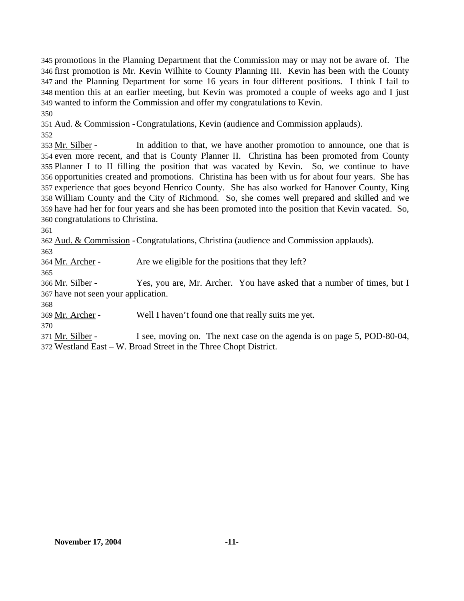promotions in the Planning Department that the Commission may or may not be aware of. The first promotion is Mr. Kevin Wilhite to County Planning III. Kevin has been with the County and the Planning Department for some 16 years in four different positions. I think I fail to mention this at an earlier meeting, but Kevin was promoted a couple of weeks ago and I just wanted to inform the Commission and offer my congratulations to Kevin. 350

351 Aud. & Commission - Congratulations, Kevin (audience and Commission applauds).

352

In addition to that, we have another promotion to announce, one that is 354 even more recent, and that is County Planner II. Christina has been promoted from County 355 Planner I to II filling the position that was vacated by Kevin. So, we continue to have 356 opportunities created and promotions. Christina has been with us for about four years. She has 357 experience that goes beyond Henrico County. She has also worked for Hanover County, King William County and the City of Richmond. So, she comes well prepared and skilled and we 358 359 have had her for four years and she has been promoted into the position that Kevin vacated. So, 360 congratulations to Christina. 353 Mr. Silber -

361

362 Aud. & Commission - Congratulations, Christina (audience and Commission applauds).

363

365

364 Mr. Archer - Are we eligible for the positions that they left?

Yes, you are, Mr. Archer. You have asked that a number of times, but I 367 have not seen your application. 366 Mr. Silber -

368

369 Mr. Archer - Well I haven't found one that really suits me yet.

370

I see, moving on. The next case on the agenda is on page 5, POD-80-04, Westland East – W. Broad Street in the Three Chopt District. 372 371 Mr. Silber -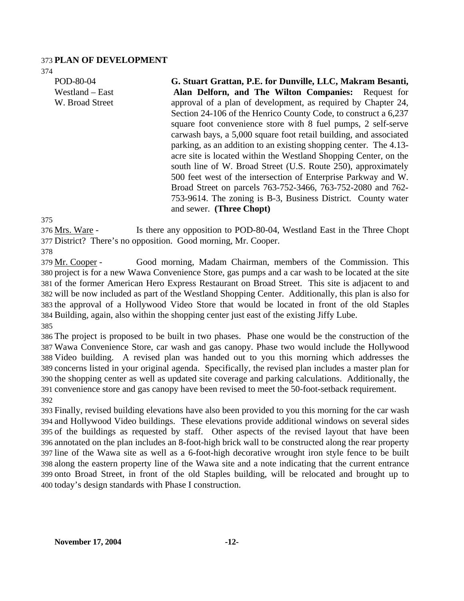#### 373 **PLAN OF DEVELOPMENT**

374

POD-80-04 Westland – East W. Broad Street

**G. Stuart Grattan, P.E. for Dunville, LLC, Makram Besanti, Alan Delforn, and The Wilton Companies:** Request for approval of a plan of development, as required by Chapter 24, Section 24-106 of the Henrico County Code, to construct a 6,237 square foot convenience store with 8 fuel pumps, 2 self-serve carwash bays, a 5,000 square foot retail building, and associated parking, as an addition to an existing shopping center. The 4.13 acre site is located within the Westland Shopping Center, on the south line of W. Broad Street (U.S. Route 250), approximately 500 feet west of the intersection of Enterprise Parkway and W. Broad Street on parcels 763-752-3466, 763-752-2080 and 762- 753-9614. The zoning is B-3, Business District. County water and sewer. **(Three Chopt)**

375

Is there any opposition to POD-80-04, Westland East in the Three Chopt 377 District? There's no opposition. Good morning, Mr. Cooper. 376 Mrs. Ware -

378

Good morning, Madam Chairman, members of the Commission. This 380 project is for a new Wawa Convenience Store, gas pumps and a car wash to be located at the site 381 of the former American Hero Express Restaurant on Broad Street. This site is adjacent to and 382 will be now included as part of the Westland Shopping Center. Additionally, this plan is also for 383 the approval of a Hollywood Video Store that would be located in front of the old Staples 384 Building, again, also within the shopping center just east of the existing Jiffy Lube. 379 Mr. Cooper -385

 The project is proposed to be built in two phases. Phase one would be the construction of the Wawa Convenience Store, car wash and gas canopy. Phase two would include the Hollywood Video building. A revised plan was handed out to you this morning which addresses the concerns listed in your original agenda. Specifically, the revised plan includes a master plan for the shopping center as well as updated site coverage and parking calculations. Additionally, the convenience store and gas canopy have been revised to meet the 50-foot-setback requirement. 392

 Finally, revised building elevations have also been provided to you this morning for the car wash and Hollywood Video buildings. These elevations provide additional windows on several sides of the buildings as requested by staff. Other aspects of the revised layout that have been annotated on the plan includes an 8-foot-high brick wall to be constructed along the rear property line of the Wawa site as well as a 6-foot-high decorative wrought iron style fence to be built along the eastern property line of the Wawa site and a note indicating that the current entrance onto Broad Street, in front of the old Staples building, will be relocated and brought up to today's design standards with Phase I construction.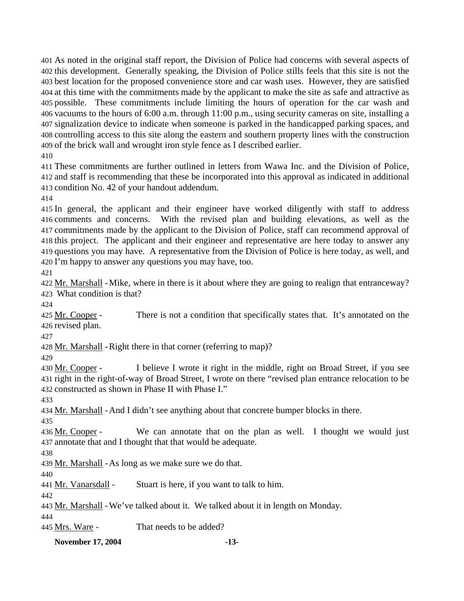As noted in the original staff report, the Division of Police had concerns with several aspects of this development. Generally speaking, the Division of Police stills feels that this site is not the best location for the proposed convenience store and car wash uses. However, they are satisfied at this time with the commitments made by the applicant to make the site as safe and attractive as possible. These commitments include limiting the hours of operation for the car wash and vacuums to the hours of 6:00 a.m. through 11:00 p.m., using security cameras on site, installing a signalization device to indicate when someone is parked in the handicapped parking spaces, and controlling access to this site along the eastern and southern property lines with the construction of the brick wall and wrought iron style fence as I described earlier.

410

411 These commitments are further outlined in letters from Wawa Inc. and the Division of Police, 412 and staff is recommending that these be incorporated into this approval as indicated in additional 413 condition No. 42 of your handout addendum.

414

 In general, the applicant and their engineer have worked diligently with staff to address 416 comments and concerns. commitments made by the applicant to the Division of Police, staff can recommend approval of this project. The applicant and their engineer and representative are here today to answer any questions you may have. A representative from the Division of Police is here today, as well, and I'm happy to answer any questions you may have, too. With the revised plan and building elevations, as well as the

421

422 Mr. Marshall - Mike, where in there is it about where they are going to realign that entranceway? What condition is that? 423

424

There is not a condition that specifically states that. It's annotated on the 426 revised plan. 425 Mr. Cooper -

427

428 Mr. Marshall - Right there in that corner (referring to map)?

429

I believe I wrote it right in the middle, right on Broad Street, if you see 431 right in the right-of-way of Broad Street, I wrote on there "revised plan entrance relocation to be 432 constructed as shown in Phase II with Phase I." 430 Mr. Cooper -

433

434 Mr. Marshall - And I didn't see anything about that concrete bumper blocks in there.

435

We can annotate that on the plan as well. I thought we would just 437 annotate that and I thought that that would be adequate. 436 Mr. Cooper -

438

439 Mr. Marshall - As long as we make sure we do that.

440 441 Mr. Vanarsdall - Stuart is here, if you want to talk to him.

442

443 Mr. Marshall - We've talked about it. We talked about it in length on Monday.

444

445 Mrs. Ware - That needs to be added?

**November 17, 2004 -13-**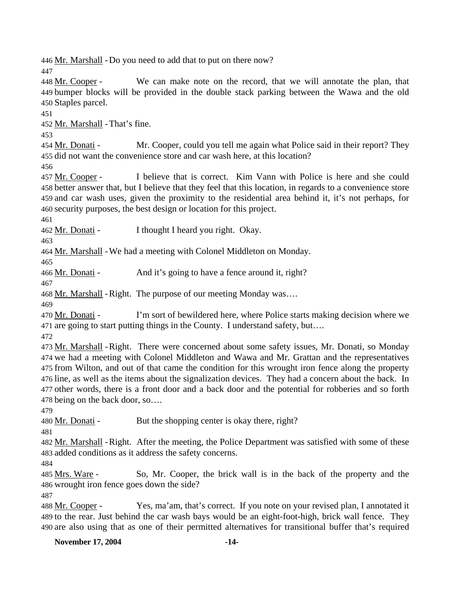446 Mr. Marshall - Do you need to add that to put on there now?

447

We can make note on the record, that we will annotate the plan, that bumper blocks will be provided in the double stack parking between the Wawa and the old 449 450 Staples parcel. 448 Mr. Cooper -

451

452 Mr. Marshall - That's fine.

453

Mr. Cooper, could you tell me again what Police said in their report? They 455 did not want the convenience store and car wash here, at this location? 454 Mr. Donati -

456

I believe that is correct. Kim Vann with Police is here and she could 458 better answer that, but I believe that they feel that this location, in regards to a convenience store 459 and car wash uses, given the proximity to the residential area behind it, it's not perhaps, for 460 security purposes, the best design or location for this project. 457 Mr. Cooper -

461

462 Mr. Donati - I thought I heard you right. Okay.

463

464 Mr. Marshall - We had a meeting with Colonel Middleton on Monday.

465

466 Mr. Donati - And it's going to have a fence around it, right?

467

468 Mr. Marshall - Right. The purpose of our meeting Monday was….

469

I'm sort of bewildered here, where Police starts making decision where we 471 are going to start putting things in the County. I understand safety, but.... 470 Mr. Donati -

472

473 Mr. Marshall - Right. There were concerned about some safety issues, Mr. Donati, so Monday 474 we had a meeting with Colonel Middleton and Wawa and Mr. Grattan and the representatives 475 from Wilton, and out of that came the condition for this wrought iron fence along the property 476 line, as well as the items about the signalization devices. They had a concern about the back. In 477 other words, there is a front door and a back door and the potential for robberies and so forth 478 being on the back door, so....

479

480 Mr. Donati - But the shopping center is okay there, right?

481

482 Mr. Marshall - Right. After the meeting, the Police Department was satisfied with some of these 483 added conditions as it address the safety concerns.

484

So, Mr. Cooper, the brick wall is in the back of the property and the 486 wrought iron fence goes down the side? 485 Mrs. Ware -

487

Yes, ma'am, that's correct. If you note on your revised plan, I annotated it 489 to the rear. Just behind the car wash bays would be an eight-foot-high, brick wall fence. They 490 are also using that as one of their permitted alternatives for transitional buffer that's required 488 Mr. Cooper -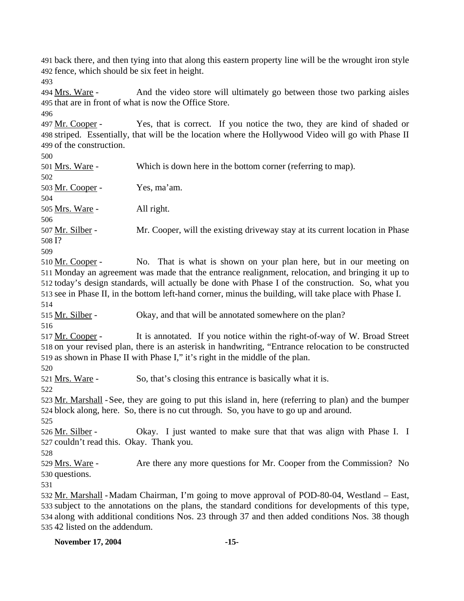491 back there, and then tying into that along this eastern property line will be the wrought iron style 492 fence, which should be six feet in height.

493

And the video store will ultimately go between those two parking aisles 495 that are in front of what is now the Office Store. 494 Mrs. Ware -

496 Yes, that is correct. If you notice the two, they are kind of shaded or 498 striped. Essentially, that will be the location where the Hollywood Video will go with Phase II 499 of the construction. 497 Mr. Cooper -

500

501 Mrs. Ware - Which is down here in the bottom corner (referring to map). 502

503 Mr. Cooper - Yes, ma'am.

505 Mrs. Ware - All right.

506

504

Mr. Cooper, will the existing driveway stay at its current location in Phase 508 I? 507 Mr. Silber -

509

No. That is what is shown on your plan here, but in our meeting on 511 Monday an agreement was made that the entrance realignment, relocation, and bringing it up to 512 today's design standards, will actually be done with Phase I of the construction. So, what you 513 see in Phase II, in the bottom left-hand corner, minus the building, will take place with Phase I. 510 Mr. Cooper -514

515 Mr. Silber - Okay, and that will be annotated somewhere on the plan?

516

It is annotated. If you notice within the right-of-way of W. Broad Street 518 on your revised plan, there is an asterisk in handwriting, "Entrance relocation to be constructed 519 as shown in Phase II with Phase I," it's right in the middle of the plan. 517 Mr. Cooper -

520

521 Mrs. Ware - So, that's closing this entrance is basically what it is.

522

523 Mr. Marshall - See, they are going to put this island in, here (referring to plan) and the bumper 524 block along, here. So, there is no cut through. So, you have to go up and around.

525

Okay. I just wanted to make sure that that was align with Phase I. I 527 couldn't read this. Okay. Thank you. 526 Mr. Silber -

528

Are there any more questions for Mr. Cooper from the Commission? No 530 questions. 529 Mrs. Ware -

531

532 Mr. Marshall - Madam Chairman, I'm going to move approval of POD-80-04, Westland - East, subject to the annotations on the plans, the standard conditions for developments of this type, 533 534 along with additional conditions Nos. 23 through 37 and then added conditions Nos. 38 though 535 42 listed on the addendum.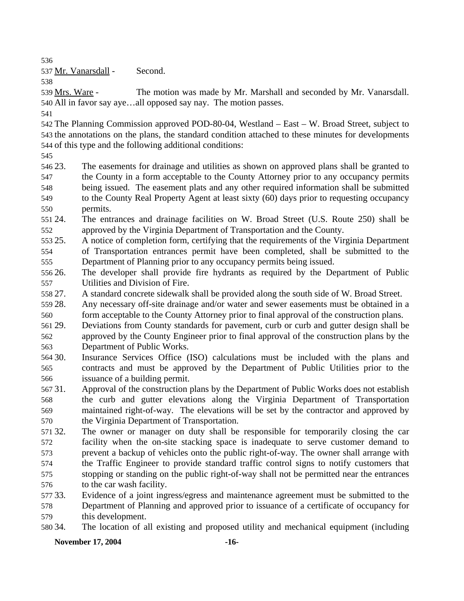536

537 Mr. Vanarsdall - Second.

538

The motion was made by Mr. Marshall and seconded by Mr. Vanarsdall. All in favor say aye…all opposed say nay. The motion passes. 540 539 Mrs. Ware -

541

542 The Planning Commission approved POD-80-04, Westland – East – W. Broad Street, subject to 543 the annotations on the plans, the standard condition attached to these minutes for developments 544 of this type and the following additional conditions:

545

546 23. 547 548 549 550 23. The easements for drainage and utilities as shown on approved plans shall be granted to the County in a form acceptable to the County Attorney prior to any occupancy permits being issued. The easement plats and any other required information shall be submitted to the County Real Property Agent at least sixty (60) days prior to requesting occupancy permits.

551 24. 552 24. The entrances and drainage facilities on W. Broad Street (U.S. Route 250) shall be approved by the Virginia Department of Transportation and the County.

553 25. 554 555 25. A notice of completion form, certifying that the requirements of the Virginia Department of Transportation entrances permit have been completed, shall be submitted to the Department of Planning prior to any occupancy permits being issued.

556 26. 557 The developer shall provide fire hydrants as required by the Department of Public Utilities and Division of Fire.

558 27. 27. A standard concrete sidewalk shall be provided along the south side of W. Broad Street.

559 28. 560 Any necessary off-site drainage and/or water and sewer easements must be obtained in a form acceptable to the County Attorney prior to final approval of the construction plans.

561 29. 562 563 Deviations from County standards for pavement, curb or curb and gutter design shall be approved by the County Engineer prior to final approval of the construction plans by the Department of Public Works.

564 30. 565 566 Insurance Services Office (ISO) calculations must be included with the plans and contracts and must be approved by the Department of Public Utilities prior to the issuance of a building permit.

567 31. 568 569 570 31. Approval of the construction plans by the Department of Public Works does not establish the curb and gutter elevations along the Virginia Department of Transportation maintained right-of-way. The elevations will be set by the contractor and approved by the Virginia Department of Transportation.

571 32 572 573 574 575 576 The owner or manager on duty shall be responsible for temporarily closing the car facility when the on-site stacking space is inadequate to serve customer demand to prevent a backup of vehicles onto the public right-of-way. The owner shall arrange with the Traffic Engineer to provide standard traffic control signs to notify customers that stopping or standing on the public right-of-way shall not be permitted near the entrances to the car wash facility.

577 33. 578 579 Evidence of a joint ingress/egress and maintenance agreement must be submitted to the Department of Planning and approved prior to issuance of a certificate of occupancy for this development.

580 34. 34. The location of all existing and proposed utility and mechanical equipment (including

**November 17, 2004** -16-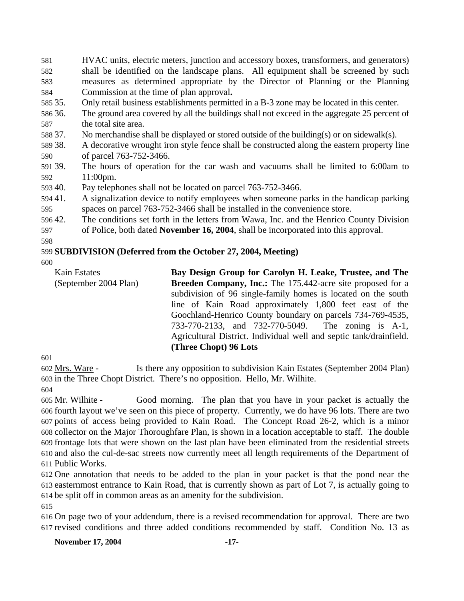581 582 583 584 HVAC units, electric meters, junction and accessory boxes, transformers, and generators) shall be identified on the landscape plans. All equipment shall be screened by such measures as determined appropriate by the Director of Planning or the Planning Commission at the time of plan approval**.**

- 585 35. 35. Only retail business establishments permitted in a B-3 zone may be located in this center.
- 586 36. 587 The ground area covered by all the buildings shall not exceed in the aggregate 25 percent of the total site area.
- 588 37. No merchandise shall be displayed or stored outside of the building(s) or on sidewalk(s).
- 589 38. 590 A decorative wrought iron style fence shall be constructed along the eastern property line of parcel 763-752-3466.
- 591 39. 592 The hours of operation for the car wash and vacuums shall be limited to 6:00am to 11:00pm.
- 593 40. Pay telephones shall not be located on parcel 763-752-3466.
- 594 41. 595 41. A signalization device to notify employees when someone parks in the handicap parking spaces on parcel 763-752-3466 shall be installed in the convenience store.
- 596 42. 42. The conditions set forth in the letters from Wawa, Inc. and the Henrico County Division

597 of Police, both dated **November 16, 2004**, shall be incorporated into this approval.

598

### 599 **SUBDIVISION (Deferred from the October 27, 2004, Meeting)**

600

Kain Estates (September 2004 Plan) **Bay Design Group for Carolyn H. Leake, Trustee, and The Breeden Company, Inc.:** The 175.442-acre site proposed for a subdivision of 96 single-family homes is located on the south line of Kain Road approximately 1,800 feet east of the Goochland-Henrico County boundary on parcels 734-769-4535, 733-770-2133, and 732-770-5049. The zoning is A-1, Agricultural District. Individual well and septic tank/drainfield. **(Three Chopt) 96 Lots** 

601

Is there any opposition to subdivision Kain Estates (September 2004 Plan) 603 in the Three Chopt District. There's no opposition. Hello, Mr. Wilhite. 602 Mrs. Ware -

604

Good morning. The plan that you have in your packet is actually the fourth layout we've seen on this piece of property. Currently, we do have 96 lots. There are two 606 607 points of access being provided to Kain Road. The Concept Road 26-2, which is a minor 608 collector on the Major Thoroughfare Plan, is shown in a location acceptable to staff. The double 609 frontage lots that were shown on the last plan have been eliminated from the residential streets 610 and also the cul-de-sac streets now currently meet all length requirements of the Department of 611 Public Works. 605 Mr. Wilhite -

612 One annotation that needs to be added to the plan in your packet is that the pond near the 613 easternmost entrance to Kain Road, that is currently shown as part of Lot 7, is actually going to 614 be split off in common areas as an amenity for the subdivision.

615

616 On page two of your addendum, there is a revised recommendation for approval. There are two 617 revised conditions and three added conditions recommended by staff. Condition No. 13 as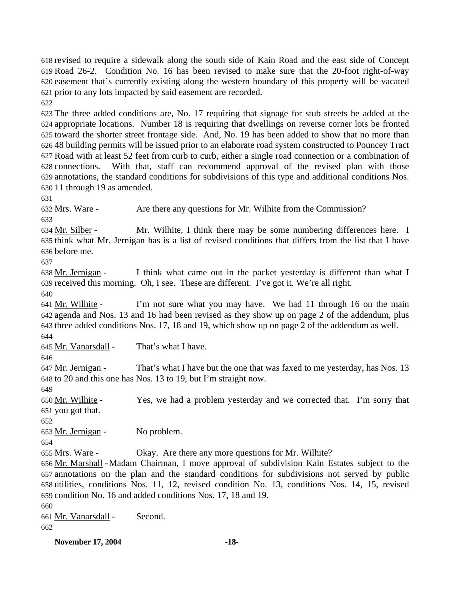revised to require a sidewalk along the south side of Kain Road and the east side of Concept Road 26-2. Condition No. 16 has been revised to make sure that the 20-foot right-of-way easement that's currently existing along the western boundary of this property will be vacated prior to any lots impacted by said easement are recorded.

622

 The three added conditions are, No. 17 requiring that signage for stub streets be added at the appropriate locations. Number 18 is requiring that dwellings on reverse corner lots be fronted toward the shorter street frontage side. And, No. 19 has been added to show that no more than 48 building permits will be issued prior to an elaborate road system constructed to Pouncey Tract Road with at least 52 feet from curb to curb, either a single road connection or a combination of 628 connections. annotations, the standard conditions for subdivisions of this type and additional conditions Nos. 11 through 19 as amended. With that, staff can recommend approval of the revised plan with those

631

632 Mrs. Ware - Are there any questions for Mr. Wilhite from the Commission?

633 Mr. Wilhite, I think there may be some numbering differences here. I 635 think what Mr. Jernigan has is a list of revised conditions that differs from the list that I have before me. 636 634 Mr. Silber -

637

I think what came out in the packet yesterday is different than what I 639 received this morning. Oh, I see. These are different. I've got it. We're all right. 638 Mr. Jernigan -

640

I'm not sure what you may have. We had 11 through 16 on the main agenda and Nos. 13 and 16 had been revised as they show up on page 2 of the addendum, plus 642 643 three added conditions Nos. 17, 18 and 19, which show up on page 2 of the addendum as well. 641 Mr. Wilhite -

644

645 Mr. Vanarsdall - That's what I have.

646

That's what I have but the one that was faxed to me yesterday, has Nos. 13 648 to 20 and this one has Nos. 13 to 19, but I'm straight now. 647 Mr. Jernigan -

649

Yes, we had a problem yesterday and we corrected that. I'm sorry that 651 you got that. 650 Mr. Wilhite -

652

653 Mr. Jernigan - No problem.

654

655 Mrs. Ware - Okay. Are there any more questions for Mr. Wilhite?

656 Mr. Marshall - Madam Chairman, I move approval of subdivision Kain Estates subject to the annotations on the plan and the standard conditions for subdivisions not served by public 657 utilities, conditions Nos. 11, 12, revised condition No. 13, conditions Nos. 14, 15, revised 658 659 condition No. 16 and added conditions Nos. 17, 18 and 19.

660

661 <u>Mr. Vanarsdall</u> - Second. 662

**November 17, 2004 -18-**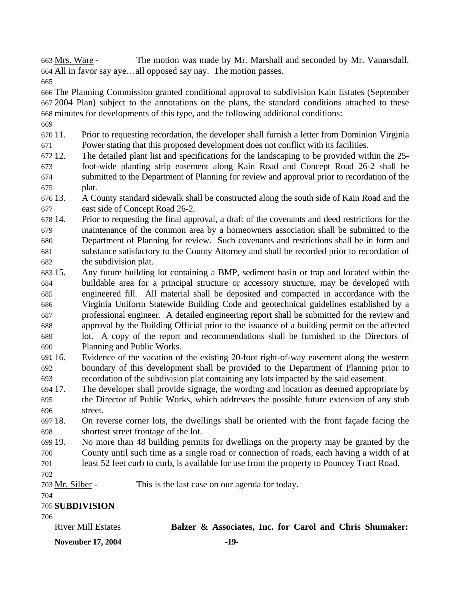The motion was made by Mr. Marshall and seconded by Mr. Vanarsdall. All in favor say aye…all opposed say nay. The motion passes. 664 663 Mrs. Ware -

665

666 The Planning Commission granted conditional approval to subdivision Kain Estates (September 667 2004 Plan) subject to the annotations on the plans, the standard conditions attached to these 668 minutes for developments of this type, and the following additional conditions:

- 669
- 670 11. 671 11. Prior to requesting recordation, the developer shall furnish a letter from Dominion Virginia Power stating that this proposed development does not conflict with its facilities.
- 672.12. 673 674 675 12. The detailed plant list and specifications for the landscaping to be provided within the 25 foot-wide planting strip easement along Kain Road and Concept Road 26-2 shall be submitted to the Department of Planning for review and approval prior to recordation of the plat.
- 676 13. 677 13. A County standard sidewalk shall be constructed along the south side of Kain Road and the east side of Concept Road 26-2.
- 678 14. 679 680 681 682 14. Prior to requesting the final approval, a draft of the covenants and deed restrictions for the maintenance of the common area by a homeowners association shall be submitted to the Department of Planning for review. Such covenants and restrictions shall be in form and substance satisfactory to the County Attorney and shall be recorded prior to recordation of the subdivision plat.
- 683 15. 684 685 686 687 688 689 690 Any future building lot containing a BMP, sediment basin or trap and located within the buildable area for a principal structure or accessory structure, may be developed with engineered fill. All material shall be deposited and compacted in accordance with the Virginia Uniform Statewide Building Code and geotechnical guidelines established by a professional engineer. A detailed engineering report shall be submitted for the review and approval by the Building Official prior to the issuance of a building permit on the affected lot. A copy of the report and recommendations shall be furnished to the Directors of Planning and Public Works.
- 691 16. 692 693 Evidence of the vacation of the existing 20-foot right-of-way easement along the western boundary of this development shall be provided to the Department of Planning prior to recordation of the subdivision plat containing any lots impacted by the said easement.
- 694 17. 695 696 The developer shall provide signage, the wording and location as deemed appropriate by the Director of Public Works, which addresses the possible future extension of any stub street.
- 697 18. 698 18. On reverse corner lots, the dwellings shall be oriented with the front façade facing the shortest street frontage of the lot.
- 699 19. 700 701 No more than 48 building permits for dwellings on the property may be granted by the County until such time as a single road or connection of roads, each having a width of at least 52 feet curb to curb, is available for use from the property to Pouncey Tract Road.
- 702
- 703 Mr. Silber This is the last case on our agenda for today.
- 704

705 **SUBDIVISION** 

706

| <b>River Mill Estates</b> | Balzer & Associates, Inc. for Carol and Chris Shumaker: |  |  |  |
|---------------------------|---------------------------------------------------------|--|--|--|
| <b>November 17, 2004</b>  | -19-                                                    |  |  |  |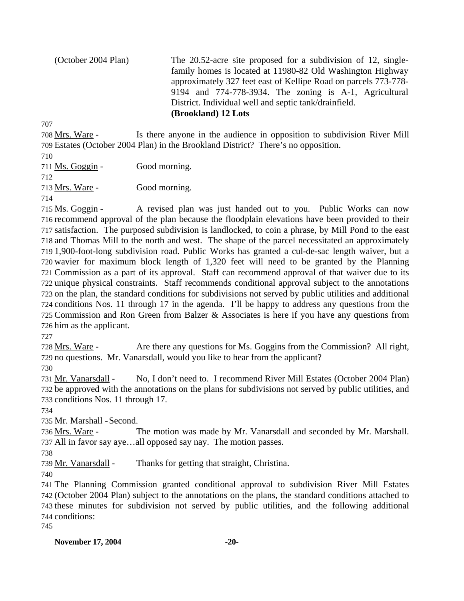(October 2004 Plan) The 20.52-acre site proposed for a subdivision of 12, singlefamily homes is located at 11980-82 Old Washington Highway approximately 327 feet east of Kellipe Road on parcels 773-778- 9194 and 774-778-3934. The zoning is A-1, Agricultural District. Individual well and septic tank/drainfield. **(Brookland) 12 Lots** 

707

Is there anyone in the audience in opposition to subdivision River Mill Estates (October 2004 Plan) in the Brookland District? There's no opposition. 709 708 Mrs. Ware -

710

711 Ms. Goggin - Good morning. 712

713 Mrs. Ware - Good morning.

714

A revised plan was just handed out to you. Public Works can now 716 recommend approval of the plan because the floodplain elevations have been provided to their 717 satisfaction. The purposed subdivision is landlocked, to coin a phrase, by Mill Pond to the east 718 and Thomas Mill to the north and west. The shape of the parcel necessitated an approximately 1,900-foot-long subdivision road. Public Works has granted a cul-de-sac length waiver, but a 719 720 wavier for maximum block length of 1,320 feet will need to be granted by the Planning 721 Commission as a part of its approval. Staff can recommend approval of that waiver due to its 722 unique physical constraints. Staff recommends conditional approval subject to the annotations 723 on the plan, the standard conditions for subdivisions not served by public utilities and additional 724 conditions Nos. 11 through 17 in the agenda. I'll be happy to address any questions from the 725 Commission and Ron Green from Balzer  $\&$  Associates is here if you have any questions from 726 him as the applicant. 715 Ms. Goggin -

727

Are there any questions for Ms. Goggins from the Commission? All right, 729 no questions. Mr. Vanarsdall, would you like to hear from the applicant? 728 Mrs. Ware -

730

No, I don't need to. I recommend River Mill Estates (October 2004 Plan) 732 be approved with the annotations on the plans for subdivisions not served by public utilities, and 733 conditions Nos. 11 through 17. 731 Mr. Vanarsdall -

734

735 Mr. Marshall - Second.

The motion was made by Mr. Vanarsdall and seconded by Mr. Marshall. All in favor say aye…all opposed say nay. The motion passes. 737 736 Mrs. Ware -

738

739 Mr. Vanarsdall - Thanks for getting that straight, Christina.

740

 The Planning Commission granted conditional approval to subdivision River Mill Estates (October 2004 Plan) subject to the annotations on the plans, the standard conditions attached to these minutes for subdivision not served by public utilities, and the following additional conditions:

745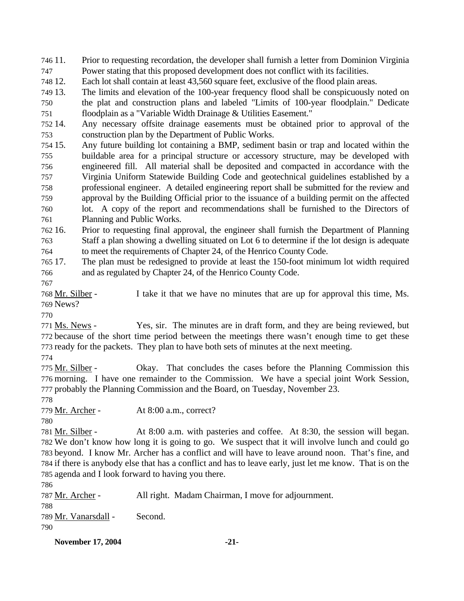746 11. 747 Prior to requesting recordation, the developer shall furnish a letter from Dominion Virginia Power stating that this proposed development does not conflict with its facilities.

748 12. Each lot shall contain at least 43,560 square feet, exclusive of the flood plain areas.

749 13. 750 751 The limits and elevation of the 100-year frequency flood shall be conspicuously noted on the plat and construction plans and labeled "Limits of 100-year floodplain." Dedicate floodplain as a "Variable Width Drainage & Utilities Easement."

752 14. 753 Any necessary offsite drainage easements must be obtained prior to approval of the construction plan by the Department of Public Works.

754 15. 755 756 757 758 759 760 761 Any future building lot containing a BMP, sediment basin or trap and located within the buildable area for a principal structure or accessory structure, may be developed with engineered fill. All material shall be deposited and compacted in accordance with the Virginia Uniform Statewide Building Code and geotechnical guidelines established by a professional engineer. A detailed engineering report shall be submitted for the review and approval by the Building Official prior to the issuance of a building permit on the affected lot. A copy of the report and recommendations shall be furnished to the Directors of Planning and Public Works.

762 16. 763 764 16. Prior to requesting final approval, the engineer shall furnish the Department of Planning Staff a plan showing a dwelling situated on Lot 6 to determine if the lot design is adequate to meet the requirements of Chapter 24, of the Henrico County Code.

765 17. 766 The plan must be redesigned to provide at least the 150-foot minimum lot width required and as regulated by Chapter 24, of the Henrico County Code.

767

I take it that we have no minutes that are up for approval this time, Ms. 769 News? 768 Mr. Silber -

770

Yes, sir. The minutes are in draft form, and they are being reviewed, but 772 because of the short time period between the meetings there wasn't enough time to get these 773 ready for the packets. They plan to have both sets of minutes at the next meeting. 771 Ms. News -

774

Okay. That concludes the cases before the Planning Commission this 776 morning. I have one remainder to the Commission. We have a special joint Work Session, 777 probably the Planning Commission and the Board, on Tuesday, November 23. 775 Mr. Silber -

778

779 Mr. Archer - At 8:00 a.m., correct?

780

At 8:00 a.m. with pasteries and coffee. At 8:30, the session will began. We don't know how long it is going to go. We suspect that it will involve lunch and could go 782 783 beyond. I know Mr. Archer has a conflict and will have to leave around noon. That's fine, and 784 if there is anybody else that has a conflict and has to leave early, just let me know. That is on the 785 agenda and I look forward to having you there. 781 Mr. Silber -

786

787 Mr. Archer - All right. Madam Chairman, I move for adjournment. 788 789 Mr. Vanarsdall - Second. 790

**November 17, 2004** -21-